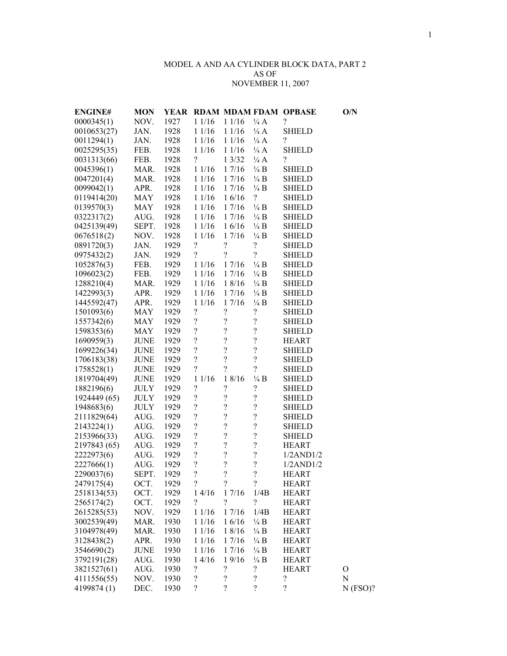## MODEL A AND AA CYLINDER BLOCK DATA, PART 2 AS OF NOVEMBER 11, 2007

| <b>ENGINE#</b> | <b>MON</b>  | YEAR |                          |                            |                          | <b>RDAM MDAM FDAM OPBASE</b> | O/N           |
|----------------|-------------|------|--------------------------|----------------------------|--------------------------|------------------------------|---------------|
| 0000345(1)     | NOV.        | 1927 | 11/16                    | 11/16                      | $\frac{1}{4}$ A          | $\overline{\mathcal{L}}$     |               |
| 0010653(27)    | JAN.        | 1928 | 11/16                    | 11/16                      | $\frac{1}{4}$ A          | <b>SHIELD</b>                |               |
| 0011294(1)     | JAN.        | 1928 | 11/16                    | 11/16                      | $\frac{1}{4}$ A          | $\overline{\mathcal{C}}$     |               |
| 0025295(35)    | FEB.        | 1928 | 11/16                    | 11/16                      | $\frac{1}{4}$ A          | <b>SHIELD</b>                |               |
| 0031313(66)    | FEB.        | 1928 | $\overline{\mathcal{E}}$ | 13/32                      | $\frac{1}{4}$ A          | $\overline{\mathcal{L}}$     |               |
| 0045396(1)     | MAR.        | 1928 | 11/16                    | 17/16                      | $\frac{1}{4}B$           | <b>SHIELD</b>                |               |
| 0047201(4)     | MAR.        | 1928 | 11/16                    | 17/16                      | $\frac{1}{4}B$           | <b>SHIELD</b>                |               |
| 0099042(1)     | APR.        | 1928 | 11/16                    | 17/16                      | $\frac{1}{4}B$           | <b>SHIELD</b>                |               |
| 0119414(20)    | MAY         | 1928 | 11/16                    | 16/16                      | $\overline{\mathcal{L}}$ | <b>SHIELD</b>                |               |
| 0139570(3)     | MAY         | 1928 | 11/16                    | 17/16                      | $\frac{1}{4}B$           | <b>SHIELD</b>                |               |
| 0322317(2)     | AUG.        | 1928 | 11/16                    | 17/16                      | $\frac{1}{4}B$           | <b>SHIELD</b>                |               |
| 0425139(49)    | SEPT.       | 1928 | 11/16                    | 16/16                      | $\frac{1}{4}B$           | <b>SHIELD</b>                |               |
| 0676518(2)     | NOV.        | 1928 | 11/16                    | 17/16                      | $\frac{1}{4}B$           | <b>SHIELD</b>                |               |
| 0891720(3)     | JAN.        | 1929 | $\overline{\mathcal{L}}$ | $\overline{\mathcal{L}}$   | $\overline{\mathcal{L}}$ | <b>SHIELD</b>                |               |
| 0975432(2)     | JAN.        | 1929 | $\overline{\mathcal{L}}$ | $\overline{\mathcal{L}}$   | $\overline{?}$           | <b>SHIELD</b>                |               |
| 1052876(3)     | FEB.        | 1929 | 11/16                    | 17/16                      | $\frac{1}{4}B$           | <b>SHIELD</b>                |               |
| 1096023(2)     | FEB.        | 1929 | 11/16                    | 17/16                      | $\frac{1}{4}B$           | <b>SHIELD</b>                |               |
| 1288210(4)     | MAR.        | 1929 | 11/16                    | 18/16                      | $\frac{1}{4}B$           | <b>SHIELD</b>                |               |
| 1422993(3)     | APR.        | 1929 | 11/16                    | 17/16                      | $\frac{1}{4}B$           | <b>SHIELD</b>                |               |
| 1445592(47)    | APR.        | 1929 | 11/16                    | 17/16                      | $\frac{1}{4}B$           | <b>SHIELD</b>                |               |
| 1501093(6)     | MAY         | 1929 | $\overline{\mathcal{L}}$ | $\overline{\mathcal{L}}$   | $\overline{\mathcal{L}}$ | <b>SHIELD</b>                |               |
| 1557342(6)     | MAY         | 1929 | $\overline{\mathcal{C}}$ | $\boldsymbol{\mathcal{C}}$ | $\overline{\mathcal{L}}$ | <b>SHIELD</b>                |               |
| 1598353(6)     | MAY         | 1929 | $\overline{\mathcal{L}}$ | $\overline{\mathcal{L}}$   | $\overline{\mathcal{L}}$ | <b>SHIELD</b>                |               |
| 1690959(3)     | <b>JUNE</b> | 1929 | $\overline{\mathcal{L}}$ | $\overline{\mathcal{L}}$   | $\overline{\mathcal{L}}$ | <b>HEART</b>                 |               |
| 1699226(34)    | <b>JUNE</b> | 1929 | $\boldsymbol{?}$         | $\overline{?}$             | $\overline{?}$           | <b>SHIELD</b>                |               |
| 1706183(38)    | <b>JUNE</b> | 1929 | $\overline{?}$           | $\overline{\mathcal{L}}$   | $\overline{\mathcal{L}}$ | <b>SHIELD</b>                |               |
| 1758528(1)     | <b>JUNE</b> | 1929 | $\overline{\mathcal{L}}$ | $\overline{\mathcal{L}}$   | $\overline{\mathcal{L}}$ | <b>SHIELD</b>                |               |
| 1819704(49)    | <b>JUNE</b> | 1929 | 11/16                    | 18/16                      | $\frac{1}{4}B$           | <b>SHIELD</b>                |               |
| 1882196(6)     | <b>JULY</b> | 1929 | $\overline{\mathcal{L}}$ | $\overline{\mathcal{L}}$   | $\boldsymbol{?}$         | <b>SHIELD</b>                |               |
| 1924449 (65)   | <b>JULY</b> | 1929 | $\overline{\mathcal{L}}$ | $\overline{\mathcal{L}}$   | $\overline{\mathcal{L}}$ | <b>SHIELD</b>                |               |
| 1948683(6)     | JULY        | 1929 | $\overline{\mathcal{L}}$ | $\overline{\mathcal{L}}$   | $\overline{\mathcal{L}}$ | <b>SHIELD</b>                |               |
| 2111829(64)    | AUG.        | 1929 | $\overline{\mathcal{L}}$ | $\overline{\mathcal{L}}$   | $\overline{\mathcal{L}}$ | <b>SHIELD</b>                |               |
| 2143224(1)     | AUG.        | 1929 | $\overline{\mathcal{L}}$ | $\overline{\mathcal{L}}$   | $\overline{\mathcal{L}}$ | <b>SHIELD</b>                |               |
| 2153966(33)    | AUG.        | 1929 | $\overline{\mathcal{L}}$ | $\overline{\mathcal{L}}$   | $\overline{\mathcal{L}}$ | <b>SHIELD</b>                |               |
| 2197843 (65)   | AUG.        | 1929 | $\overline{\mathcal{L}}$ | $\overline{\mathcal{L}}$   | $\overline{\mathcal{L}}$ | <b>HEART</b>                 |               |
| 2222973(6)     | AUG.        | 1929 | $\overline{\mathcal{L}}$ | $\overline{\mathcal{L}}$   | $\overline{\mathcal{L}}$ | 1/2AND1/2                    |               |
| 2227666(1)     | AUG.        | 1929 | $\overline{\mathcal{L}}$ | $\overline{?}$             | $\overline{\mathcal{L}}$ | 1/2AND1/2                    |               |
| 2290037(6)     | SEPT.       | 1929 | $\overline{\mathcal{L}}$ | $\overline{?}$             | $\gamma$                 | <b>HEART</b>                 |               |
| 2479175(4)     | OCT.        | 1929 | $\overline{\mathcal{L}}$ | $\overline{\mathcal{L}}$   | $\overline{\mathcal{L}}$ | <b>HEART</b>                 |               |
| 2518134(53)    | OCT.        | 1929 | 14/16                    | 17/16                      | 1/4B                     | <b>HEART</b>                 |               |
| 2565174(2)     | OCT.        | 1929 | $\overline{\mathcal{C}}$ | $\gamma$                   | $\overline{\mathcal{L}}$ | <b>HEART</b>                 |               |
| 2615285(53)    | NOV.        | 1929 | 11/16                    | 17/16                      | 1/4B                     | <b>HEART</b>                 |               |
| 3002539(49)    | MAR.        | 1930 | 11/16                    | 16/16                      | $\frac{1}{4}B$           | <b>HEART</b>                 |               |
| 3104978(49)    | MAR.        | 1930 | 11/16                    | 1 8/16                     | $\frac{1}{4}B$           | <b>HEART</b>                 |               |
| 3128438(2)     | APR.        | 1930 | 11/16                    | 17/16                      | $\frac{1}{4}B$           | <b>HEART</b>                 |               |
| 3546690(2)     | <b>JUNE</b> | 1930 | 11/16                    | 17/16                      | $\frac{1}{4}B$           | <b>HEART</b>                 |               |
| 3792191(28)    | AUG.        | 1930 | 14/16                    | 19/16                      | $\frac{1}{4}B$           | <b>HEART</b>                 |               |
| 3821527(61)    | AUG.        | 1930 | $\overline{\mathcal{C}}$ | $\overline{\mathcal{C}}$   | $\boldsymbol{?}$         | <b>HEART</b>                 | $\mathcal{O}$ |
| 4111556(55)    | NOV.        | 1930 | $\boldsymbol{?}$         | $\overline{\mathcal{L}}$   | $\overline{\mathcal{L}}$ | $\boldsymbol{?}$             | ${\bf N}$     |
| 4199874(1)     | DEC.        | 1930 | $\overline{\mathcal{L}}$ | $\overline{\mathcal{L}}$   | $\overline{\mathcal{L}}$ | $\overline{\mathcal{L}}$     | $N$ (FSO)?    |